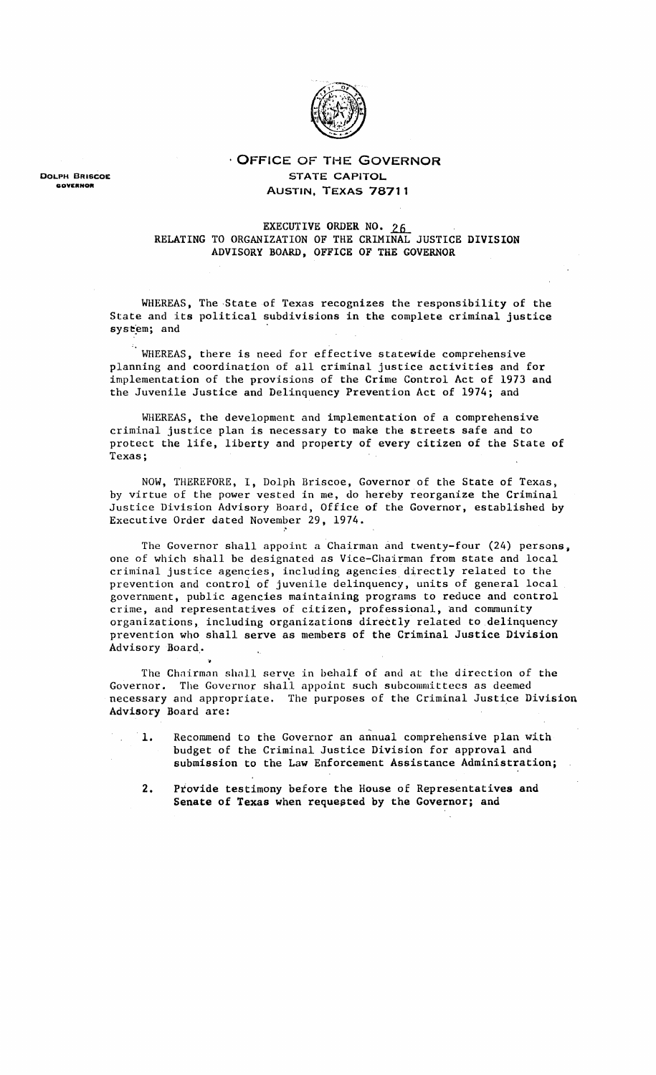

. OFFICE OF THE GOVERNOR STATE CAPITOL AUSTIN, TEXAS **78711**

EXECUTIVE ORDER NO. 26 RELATING TO ORGANIZATION OF THE CRIMINAL JUSTICE DIVISION ADVISORY BOARD, OFFICE OF THE GOVERNOR

WHEREAS, The State of Texas recognizes the responsibility of the State and its political subdivisions in the complete criminal justice system; and

WHEREAS, there is need for effective statewide comprehensive planning and coordination of all criminal justice activities and for implementation of the provisions of the Crime Control Act of 1973 and the Juvenile Justice and Delinquency Prevention Act of 1974; and

WHEREAS, the development and implementation of a comprehensive criminal justice plan is necessary to make the streets safe and to protect the life, liberty and property of every citizen of the State of Texas;

NOW, THEREFORE, I, Dolph Briscoe, Governor of the State of Texas, by virtue of the power vested in me, do hereby reorganize the Criminal Justice Division Advisory Board, Office of the Governor, established by Executive Order dated November 29, 1974.

"

..

The Governor shall appoint a Chairman and twenty-four (24) persons, one of which shall be designated as Vice-Chairman from state and local criminal justice agencies, including agencies directly related to the prevention and controi of juvenile delinquency, units of general local government, public agencies maintaining programs to reduce and control crime, and representatives of citizen, professional, and community organizations, including organizations directly related to delinquency prevention who shall serve as members of the Criminal Justice Division Advisory Board,.

The Chairman shall serve in behalf of and at the direction of the Governor. The Governor shall appoint such subcommittees as deemed necessary and appropriate. The purposes of the Criminal Justice Division Advisory Board are:

- 1. Recommend to the Governor an annual comprehensive plan with budget of the Criminal Justice Division for approval and submission to the Law Enforcement Assistance Administration;
	- 2. Provide testimony before the House of Representatives and Senate of Texas when requested by the Governor; and

DOLPH BRISCOE GOVERNOR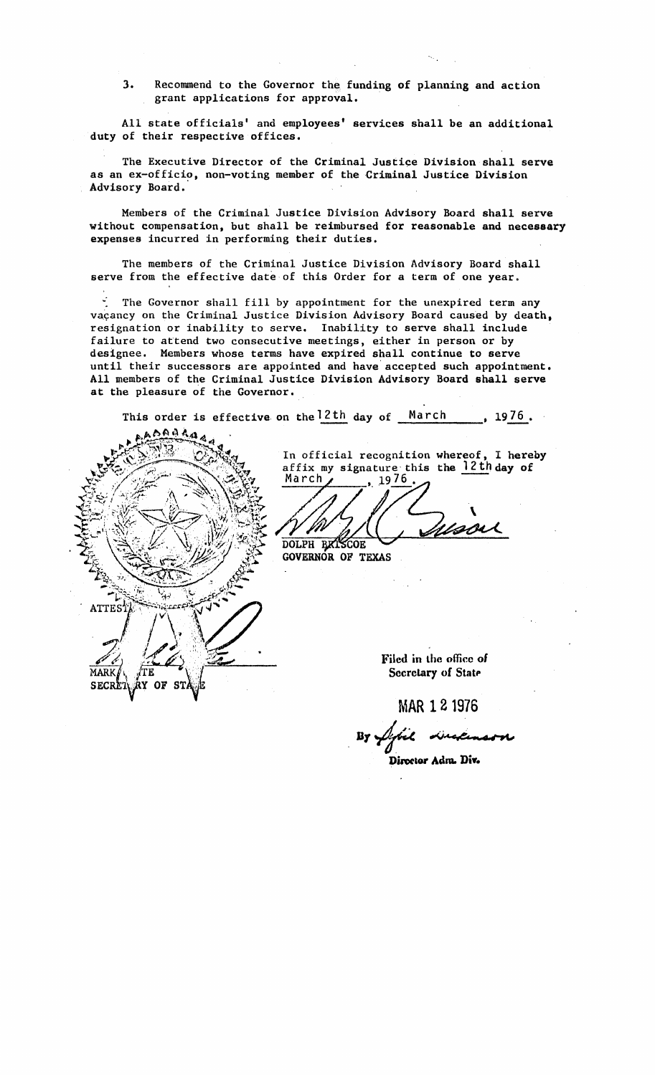3. Recommend to the Governor the funding of planning and action grant applications for approval.

All state officials' and employees' services shall be an additional duty of their respective offices.

The Executive Director of the Criminal Justice Division shall serve as an ex-officio, non-voting member of the Criminal Justice Division Advisory Board.

Members of the Criminal Justice Division Advisory Board shall serve without compensation, but shall be reimbursed for reasonable and necessary expenses incurred in performing their duties.

The members of the Criminal Justice Division Advisory Board shall serve from the effective date of this Order for a term of one year.

 $\le$  The Governor shall fill by appointment for the unexpired term any vaçancy on the Criminal Justice Division Advisory Board caused by death, resignation or inability to serve. Inability to serve shall include failure to attend two consecutive meetings, either in person or by designee. Members whose terms have expired shall continue to serve until their successors are appointed and have'accepted such appointment. All members of the Criminal Justice Division Advisory Board shall serve at the pleasure of the Governor.

This order is effective on the 2th day of March , 1976 •



In official recognition whereof, I hereby affix my signature this the  $\frac{12 \text{ th}}{2}$  day of March  $, 1976.$ 

7 DOLPH BXISCOE

GOVERNOR OF TEXAS

Filed in the office of Secretary of State

MAR 121976

distant

Diroctor Adm. Div.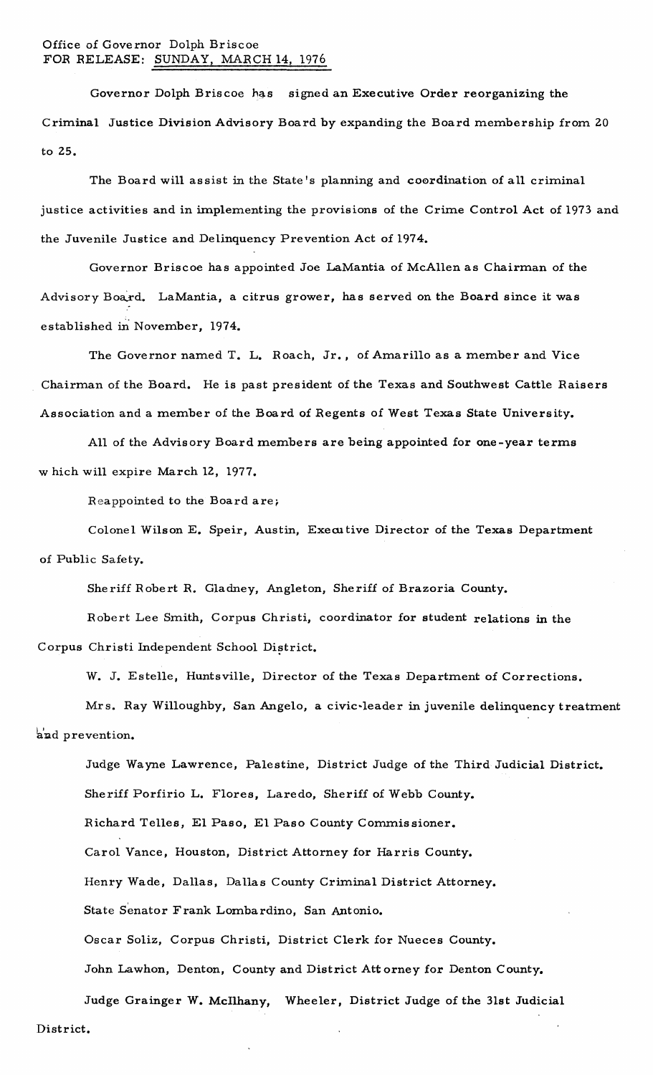## Office of Governor Dolph Briscoe FOR RELEASE: SUNDAY, MARCH 14, 1976

Governor Dolph Briscoe has signed an Executive Order reorganizing the Criminal Justice Division Advisory Board by expanding the Board membership from 20 to 25.

The Board will assist in the State's planning and c00rdination of all criminal justice activities and in implementing the provisions of the Crime Control Act of 1973 and the Juvenile Justice and Delinquency Prevention Act of 1974.

Governor Briscoe has appointed Joe LaMantia of McAllen as Chairman of the Advisory Board. LaMantia, a citrus grower, has served on the Board since it was established in November, 1974.

The Governor named T. L. Roach, Jr., of Amarillo as <sup>a</sup> member and Vice Chairman of the Board. He is past president of the Texas and Southwest Cattle Raisers Association and a member of the Board of Regents of West Texas State University.

All of the Advisory Board members are being appointed for one-year terms w hich will expire March 12,1977.

Reappointed to the Board are;

Colonel Wilson E. Speir, Austin, Executive Director of the Texas Department of Public Safety.

Sheriff Robert R. Gladney, Angleton, Sheriff of Brazoria County.

Robert Lee Smith, Corpus Christi, coordinator for student relations in the Corpus Christi Independent School District.

W. J. Estelle, Huntsville, Director of the Texas Department of Corrections.

Mrs. Ray Willoughby, San Angelo, a civic-leader in juvenile delinquency treatment and prevention.

Judge Wayne Lawrence, Palestine, District Judge of the Third Judicial District. Sheriff Porfirio L. Flores, Laredo, Sheriff of Webb County. Richard Telles, El Paso, El Paso County Commissioner. Carol Vance, Houston, District Attorney for Harris County. Henry Wade, Dallas, Dallas County Criminal District Attorney. State Senator Frank Lombardino, San Antonio. Oscar Soliz, Corpus Christi, District Clerk for Nueces County. John Lawhon, Denton, County and District Att orney for Denton County.

Judge Grainger W. Mcllhany, Wheeler, District Judge of the 31st Judicial District.